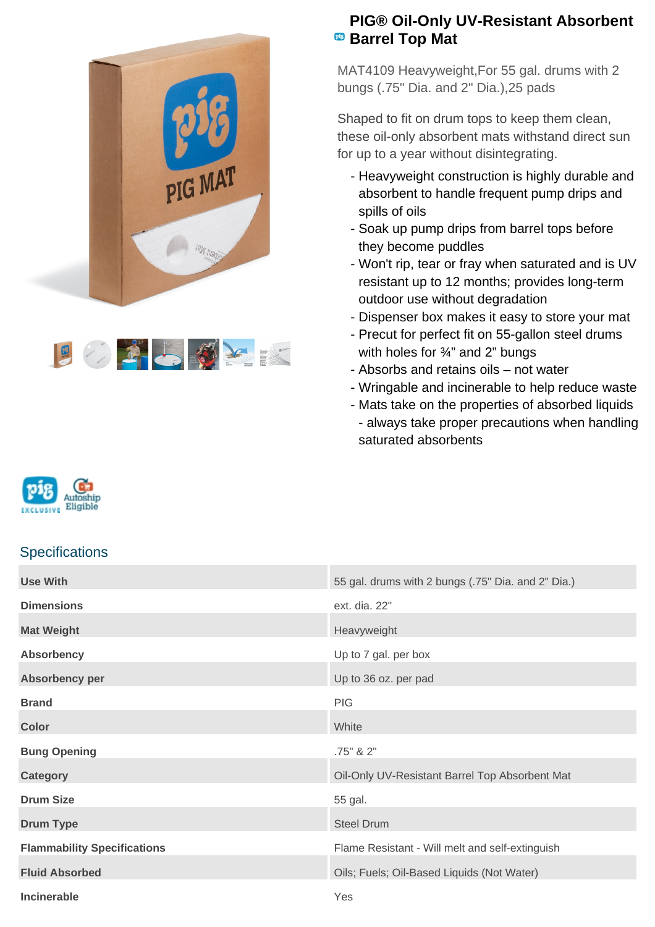



## **PIG® Oil-Only UV-Resistant Absorbent Barrel Top Mat**

MAT4109 Heavyweight,For 55 gal. drums with 2 bungs (.75" Dia. and 2" Dia.),25 pads

Shaped to fit on drum tops to keep them clean, these oil-only absorbent mats withstand direct sun for up to a year without disintegrating.

- Heavyweight construction is highly durable and absorbent to handle frequent pump drips and spills of oils
- Soak up pump drips from barrel tops before they become puddles
- Won't rip, tear or fray when saturated and is UV resistant up to 12 months; provides long-term outdoor use without degradation
- Dispenser box makes it easy to store your mat
- Precut for perfect fit on 55-gallon steel drums with holes for 3/4" and 2" bungs
- Absorbs and retains oils not water
- Wringable and incinerable to help reduce waste
- Mats take on the properties of absorbed liquids - always take proper precautions when handling saturated absorbents



## **Specifications**

| <b>Use With</b>                    | 55 gal. drums with 2 bungs (.75" Dia. and 2" Dia.) |
|------------------------------------|----------------------------------------------------|
| <b>Dimensions</b>                  | ext. dia. 22"                                      |
| <b>Mat Weight</b>                  | Heavyweight                                        |
| <b>Absorbency</b>                  | Up to 7 gal. per box                               |
| Absorbency per                     | Up to 36 oz. per pad                               |
| <b>Brand</b>                       | <b>PIG</b>                                         |
| <b>Color</b>                       | White                                              |
| <b>Bung Opening</b>                | .75" & 2"                                          |
| <b>Category</b>                    | Oil-Only UV-Resistant Barrel Top Absorbent Mat     |
| <b>Drum Size</b>                   | 55 gal.                                            |
| <b>Drum Type</b>                   | <b>Steel Drum</b>                                  |
| <b>Flammability Specifications</b> | Flame Resistant - Will melt and self-extinguish    |
| <b>Fluid Absorbed</b>              | Oils; Fuels; Oil-Based Liquids (Not Water)         |
| <b>Incinerable</b>                 | Yes                                                |